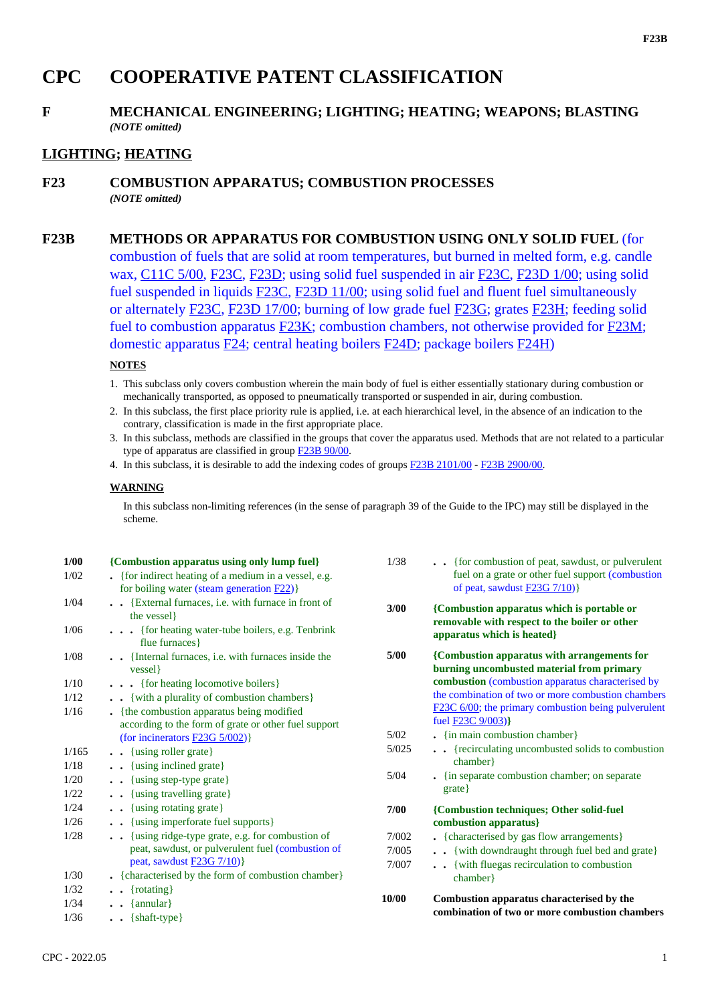# **CPC COOPERATIVE PATENT CLASSIFICATION**

## **F MECHANICAL ENGINEERING; LIGHTING; HEATING; WEAPONS; BLASTING** *(NOTE omitted)*

# **LIGHTING; HEATING**

### **F23 COMBUSTION APPARATUS; COMBUSTION PROCESSES** *(NOTE omitted)*

# **F23B METHODS OR APPARATUS FOR COMBUSTION USING ONLY SOLID FUEL** (for

combustion of fuels that are solid at room temperatures, but burned in melted form, e.g. candle wax, C11C 5/00, F23C, F23D; using solid fuel suspended in air F23C, F23D 1/00; using solid fuel suspended in liquids F23C, F23D 11/00; using solid fuel and fluent fuel simultaneously or alternately F23C, F23D 17/00; burning of low grade fuel F23G; grates F23H; feeding solid fuel to combustion apparatus F23K; combustion chambers, not otherwise provided for F23M; domestic apparatus F24; central heating boilers F24D; package boilers F24H)

#### **NOTES**

- 1. This subclass only covers combustion wherein the main body of fuel is either essentially stationary during combustion or mechanically transported, as opposed to pneumatically transported or suspended in air, during combustion.
- 2. In this subclass, the first place priority rule is applied, i.e. at each hierarchical level, in the absence of an indication to the contrary, classification is made in the first appropriate place.
- 3. In this subclass, methods are classified in the groups that cover the apparatus used. Methods that are not related to a particular type of apparatus are classified in group F23B 90/00.
- 4. In this subclass, it is desirable to add the indexing codes of groups F23B 2101/00 F23B 2900/00.

#### **WARNING**

In this subclass non-limiting references (in the sense of paragraph 39 of the Guide to the IPC) may still be displayed in the scheme.

| 1/00<br>1/02 | {Combustion apparatus using only lump fuel}<br>• {for indirect heating of a medium in a vessel, e.g.<br>for boiling water (steam generation $F22$ )} | 1/38  | {for combustion of peat, sawdust, or pulverulent<br>fuel on a grate or other fuel support (combustion<br>of peat, sawdust $F23G 7/10$ } |
|--------------|------------------------------------------------------------------------------------------------------------------------------------------------------|-------|-----------------------------------------------------------------------------------------------------------------------------------------|
| 1/04         | . . {External furnaces, i.e. with furnace in front of<br>the vessel }                                                                                | 3/00  | {Combustion apparatus which is portable or<br>removable with respect to the boiler or other                                             |
| 1/06         | {for heating water-tube boilers, e.g. Tenbrink<br>flue furnaces }                                                                                    |       | apparatus which is heated}                                                                                                              |
| 1/08         | . {Internal furnaces, i.e. with furnaces inside the<br>vessel }                                                                                      | 5/00  | {Combustion apparatus with arrangements for<br>burning uncombusted material from primary                                                |
| 1/10         | {for heating locomotive boilers}                                                                                                                     |       | combustion (combustion apparatus characterised by                                                                                       |
| 1/12         | {with a plurality of combustion chambers}                                                                                                            |       | the combination of two or more combustion chambers                                                                                      |
| 1/16         | • {the combustion apparatus being modified                                                                                                           |       | F23C 6/00; the primary combustion being pulverulent                                                                                     |
|              | according to the form of grate or other fuel support                                                                                                 | 5/02  | fuel <b>F23C</b> 9/003)}<br>$\frac{1}{2}$ {in main combustion chamber}                                                                  |
|              | (for incinerators $F23G 5/002$ )                                                                                                                     | 5/025 | . . {recirculating uncombusted solids to combustion                                                                                     |
| 1/165        | {using roller grate}                                                                                                                                 |       | chamber}                                                                                                                                |
| 1/18         | . . {using inclined grate}                                                                                                                           | 5/04  | . {in separate combustion chamber; on separate                                                                                          |
| 1/20         | {using step-type grate}                                                                                                                              |       | $grate$ }                                                                                                                               |
| 1/22         | {using travelling grate}                                                                                                                             |       |                                                                                                                                         |
| 1/24<br>1/26 | {using rotating grate}<br>{using imperforate fuel supports}                                                                                          | 7/00  | {Combustion techniques; Other solid-fuel                                                                                                |
| 1/28         |                                                                                                                                                      |       | combustion apparatus}                                                                                                                   |
|              | {using ridge-type grate, e.g. for combustion of<br>peat, sawdust, or pulverulent fuel (combustion of                                                 | 7/002 | • {characterised by gas flow arrangements}                                                                                              |
|              | peat, sawdust $F23G 7/10$ }                                                                                                                          | 7/005 | . . {with downdraught through fuel bed and grate}                                                                                       |
| 1/30         | . {characterised by the form of combustion chamber}                                                                                                  | 7/007 | {with fluegas recirculation to combustion<br>chamber}                                                                                   |
| 1/32         | $\{rotating\}$                                                                                                                                       |       |                                                                                                                                         |
| 1/34         | $\{\text{annular}\}\$                                                                                                                                | 10/00 | Combustion apparatus characterised by the                                                                                               |
| 1/36         | $\bullet$ {shaft-type}                                                                                                                               |       | combination of two or more combustion chambers                                                                                          |
|              |                                                                                                                                                      |       |                                                                                                                                         |